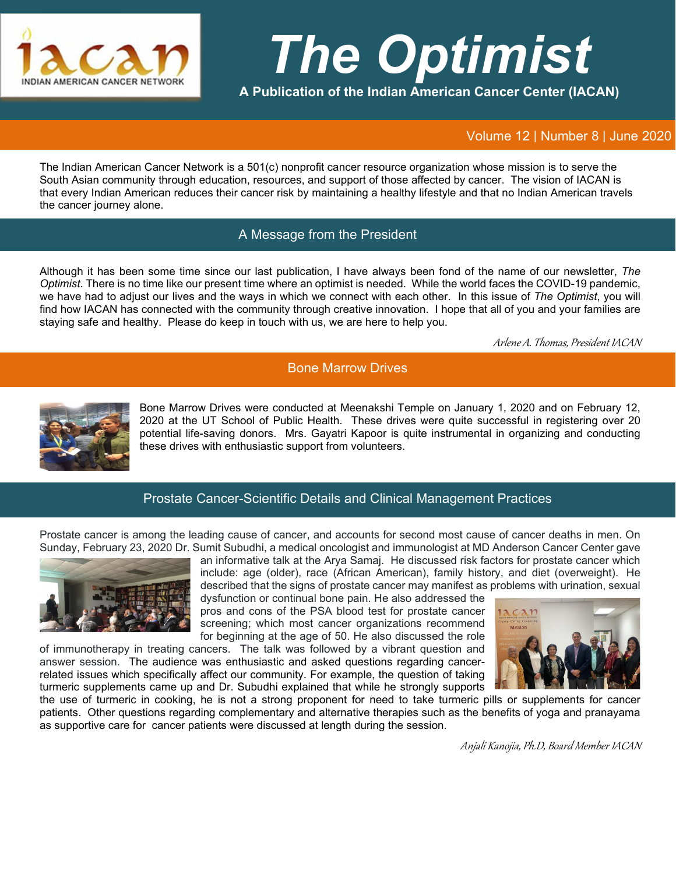

# *The Optimist*

**A Publication of the Indian American Cancer Center (IACAN)**

Volume 12 | Number 8 | June 2020

The Indian American Cancer Network is a 501(c) nonprofit cancer resource organization whose mission is to serve the South Asian community through education, resources, and support of those affected by cancer. The vision of IACAN is that every Indian American reduces their cancer risk by maintaining a healthy lifestyle and that no Indian American travels the cancer journey alone.

## A Message from the President

Although it has been some time since our last publication, I have always been fond of the name of our newsletter, *The Optimist*. There is no time like our present time where an optimist is needed. While the world faces the COVID-19 pandemic, we have had to adjust our lives and the ways in which we connect with each other. In this issue of *The Optimist*, you will find how IACAN has connected with the community through creative innovation. I hope that all of you and your families are staying safe and healthy. Please do keep in touch with us, we are here to help you.

Arlene A. Thomas, President IACAN

## Bone Marrow Drives



Bone Marrow Drives were conducted at Meenakshi Temple on January 1, 2020 and on February 12, 2020 at the UT School of Public Health. These drives were quite successful in registering over 20 potential life-saving donors. Mrs. Gayatri Kapoor is quite instrumental in organizing and conducting these drives with enthusiastic support from volunteers.

#### Prostate Cancer-Scientific Details and Clinical Management Practices

Prostate cancer is among the leading cause of cancer, and accounts for second most cause of cancer deaths in men. On Sunday, February 23, 2020 Dr. Sumit Subudhi, a medical oncologist and immunologist at MD Anderson Cancer Center gave



an informative talk at the Arya Samaj. He discussed risk factors for prostate cancer which include: age (older), race (African American), family history, and diet (overweight). He described that the signs of prostate cancer may manifest as problems with urination, sexual

dysfunction or continual bone pain. He also addressed the pros and cons of the PSA blood test for prostate cancer screening; which most cancer organizations recommend for beginning at the age of 50. He also discussed the role

of immunotherapy in treating cancers. The talk was followed by a vibrant question and answer session. The audience was enthusiastic and asked questions regarding cancerrelated issues which specifically affect our community. For example, the question of taking turmeric supplements came up and Dr. Subudhi explained that while he strongly supports



the use of turmeric in cooking, he is not a strong proponent for need to take turmeric pills or supplements for cancer patients. Other questions regarding complementary and alternative therapies such as the benefits of yoga and pranayama as supportive care for cancer patients were discussed at length during the session.

Anjali Kanojia, Ph.D, Board Member IACAN